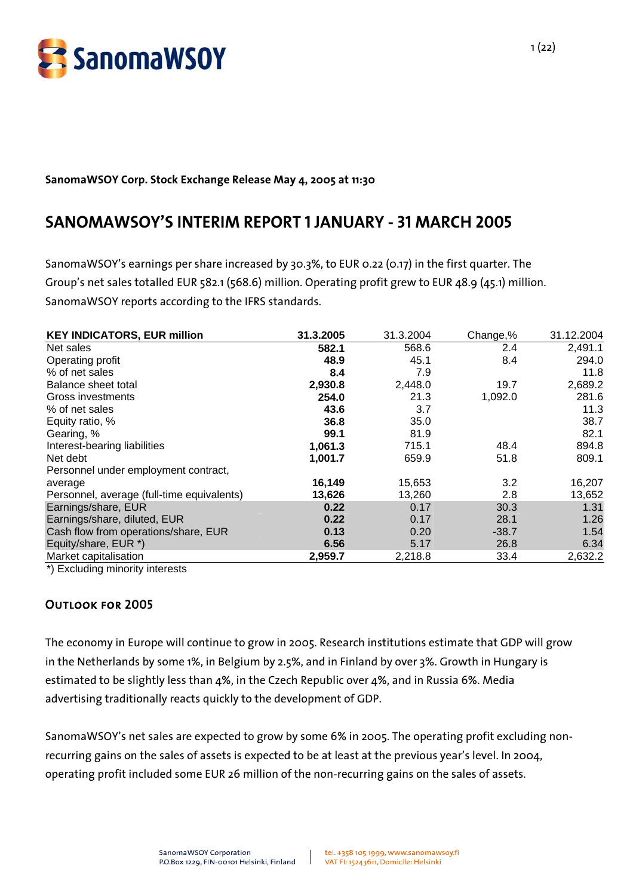

## **SanomaWSOY Corp. Stock Exchange Release May 4, 2005 at 11:30**

# **SANOMAWSOY'S INTERIM REPORT 1 JANUARY - 31 MARCH 2005**

SanomaWSOY's earnings per share increased by 30.3%, to EUR 0.22 (0.17) in the first quarter. The Group's net sales totalled EUR 582.1 (568.6) million. Operating profit grew to EUR 48.9 (45.1) million. SanomaWSOY reports according to the IFRS standards.

| <b>KEY INDICATORS, EUR million</b>         | 31.3.2005 | 31.3.2004 | Change,% | 31.12.2004 |
|--------------------------------------------|-----------|-----------|----------|------------|
| Net sales                                  | 582.1     | 568.6     | 2.4      | 2,491.1    |
| Operating profit                           | 48.9      | 45.1      | 8.4      | 294.0      |
| % of net sales                             | 8.4       | 7.9       |          | 11.8       |
| Balance sheet total                        | 2,930.8   | 2,448.0   | 19.7     | 2,689.2    |
| Gross investments                          | 254.0     | 21.3      | 1,092.0  | 281.6      |
| % of net sales                             | 43.6      | 3.7       |          | 11.3       |
| Equity ratio, %                            | 36.8      | 35.0      |          | 38.7       |
| Gearing, %                                 | 99.1      | 81.9      |          | 82.1       |
| Interest-bearing liabilities               | 1,061.3   | 715.1     | 48.4     | 894.8      |
| Net debt                                   | 1,001.7   | 659.9     | 51.8     | 809.1      |
| Personnel under employment contract,       |           |           |          |            |
| average                                    | 16,149    | 15,653    | 3.2      | 16,207     |
| Personnel, average (full-time equivalents) | 13,626    | 13,260    | 2.8      | 13,652     |
| Earnings/share, EUR                        | 0.22      | 0.17      | 30.3     | 1.31       |
| Earnings/share, diluted, EUR               | 0.22      | 0.17      | 28.1     | 1.26       |
| Cash flow from operations/share, EUR       | 0.13      | 0.20      | $-38.7$  | 1.54       |
| Equity/share, EUR *)                       | 6.56      | 5.17      | 26.8     | 6.34       |
| Market capitalisation                      | 2,959.7   | 2,218.8   | 33.4     | 2,632.2    |

\*) Excluding minority interests

## Outlook for 2005

The economy in Europe will continue to grow in 2005. Research institutions estimate that GDP will grow in the Netherlands by some 1%, in Belgium by 2.5%, and in Finland by over 3%. Growth in Hungary is estimated to be slightly less than 4%, in the Czech Republic over 4%, and in Russia 6%. Media advertising traditionally reacts quickly to the development of GDP.

SanomaWSOY's net sales are expected to grow by some 6% in 2005. The operating profit excluding nonrecurring gains on the sales of assets is expected to be at least at the previous year's level. In 2004, operating profit included some EUR 26 million of the non-recurring gains on the sales of assets.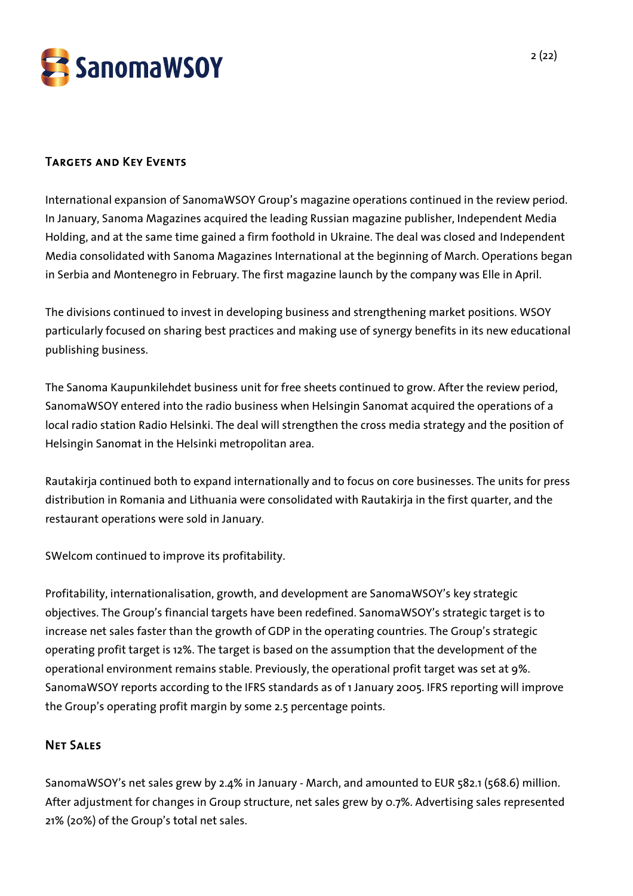

# Targets and Key Events

International expansion of SanomaWSOY Group's magazine operations continued in the review period. In January, Sanoma Magazines acquired the leading Russian magazine publisher, Independent Media Holding, and at the same time gained a firm foothold in Ukraine. The deal was closed and Independent Media consolidated with Sanoma Magazines International at the beginning of March. Operations began in Serbia and Montenegro in February. The first magazine launch by the company was Elle in April.

The divisions continued to invest in developing business and strengthening market positions. WSOY particularly focused on sharing best practices and making use of synergy benefits in its new educational publishing business.

The Sanoma Kaupunkilehdet business unit for free sheets continued to grow. After the review period, SanomaWSOY entered into the radio business when Helsingin Sanomat acquired the operations of a local radio station Radio Helsinki. The deal will strengthen the cross media strategy and the position of Helsingin Sanomat in the Helsinki metropolitan area.

Rautakirja continued both to expand internationally and to focus on core businesses. The units for press distribution in Romania and Lithuania were consolidated with Rautakirja in the first quarter, and the restaurant operations were sold in January.

SWelcom continued to improve its profitability.

Profitability, internationalisation, growth, and development are SanomaWSOY's key strategic objectives. The Group's financial targets have been redefined. SanomaWSOY's strategic target is to increase net sales faster than the growth of GDP in the operating countries. The Group's strategic operating profit target is 12%. The target is based on the assumption that the development of the operational environment remains stable. Previously, the operational profit target was set at 9%. SanomaWSOY reports according to the IFRS standards as of 1 January 2005. IFRS reporting will improve the Group's operating profit margin by some 2.5 percentage points.

## Net Sales

SanomaWSOY's net sales grew by 2.4% in January - March, and amounted to EUR 582.1 (568.6) million. After adjustment for changes in Group structure, net sales grew by 0.7%. Advertising sales represented 21% (20%) of the Group's total net sales.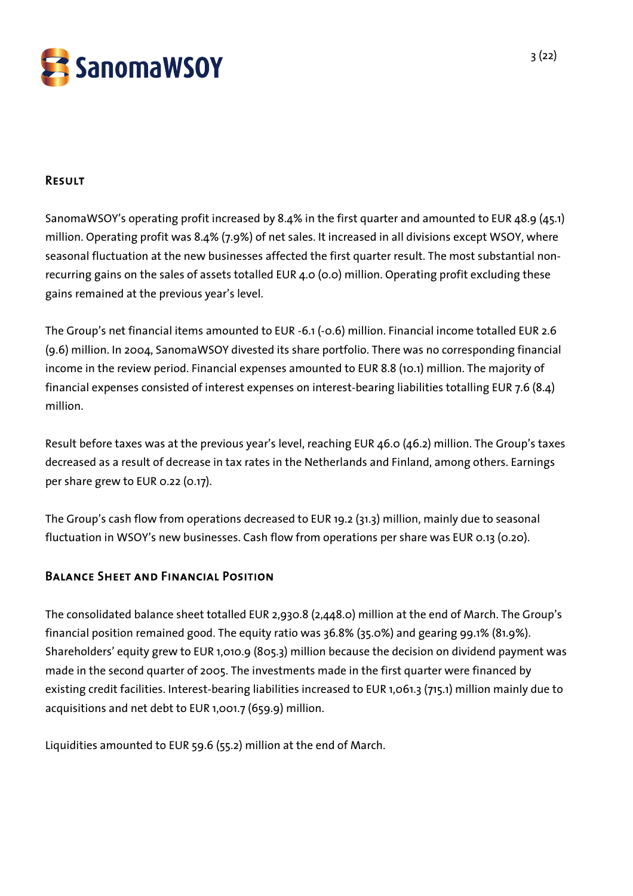

## Result

SanomaWSOY's operating profit increased by 8.4% in the first quarter and amounted to EUR 48.9 (45.1) million. Operating profit was 8.4% (7.9%) of net sales. It increased in all divisions except WSOY, where seasonal fluctuation at the new businesses affected the first quarter result. The most substantial nonrecurring gains on the sales of assets totalled EUR 4.0 (0.0) million. Operating profit excluding these gains remained at the previous year's level.

The Group's net financial items amounted to EUR -6.1 (-0.6) million. Financial income totalled EUR 2.6 (9.6) million. In 2004, SanomaWSOY divested its share portfolio. There was no corresponding financial income in the review period. Financial expenses amounted to EUR 8.8 (10.1) million. The majority of financial expenses consisted of interest expenses on interest-bearing liabilities totalling EUR 7.6 (8.4) million.

Result before taxes was at the previous year's level, reaching EUR 46.0 (46.2) million. The Group's taxes decreased as a result of decrease in tax rates in the Netherlands and Finland, among others. Earnings per share grew to EUR 0.22 (0.17).

The Group's cash flow from operations decreased to EUR 19.2 (31.3) million, mainly due to seasonal fluctuation in WSOY's new businesses. Cash flow from operations per share was EUR 0.13 (0.20).

# Balance Sheet and Financial Position

The consolidated balance sheet totalled EUR 2,930.8 (2,448.0) million at the end of March. The Group's financial position remained good. The equity ratio was 36.8% (35.0%) and gearing 99.1% (81.9%). Shareholders' equity grew to EUR 1,010.9 (805.3) million because the decision on dividend payment was made in the second quarter of 2005. The investments made in the first quarter were financed by existing credit facilities. Interest-bearing liabilities increased to EUR 1,061.3 (715.1) million mainly due to acquisitions and net debt to EUR 1,001.7 (659.9) million.

Liquidities amounted to EUR 59.6 (55.2) million at the end of March.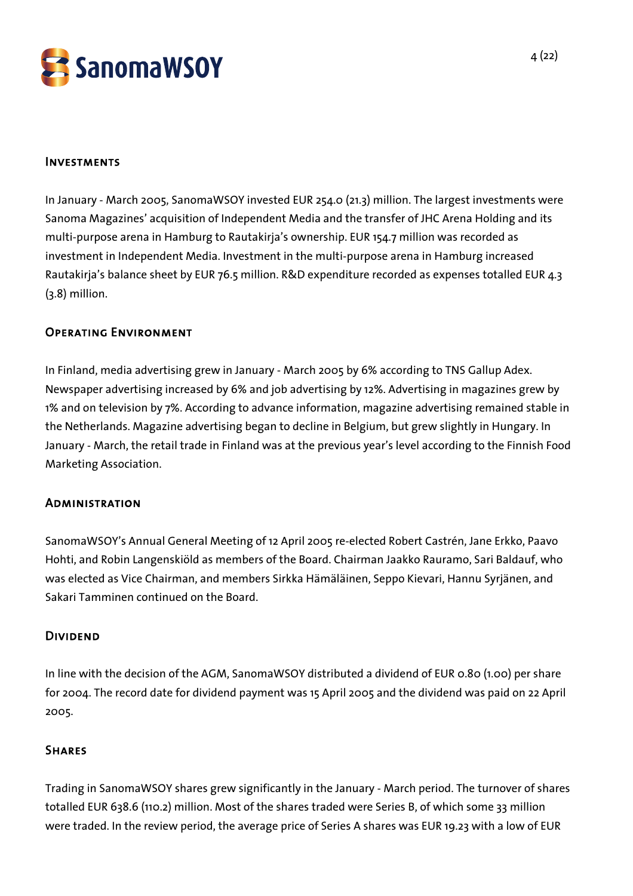

## Investments

In January - March 2005, SanomaWSOY invested EUR 254.0 (21.3) million. The largest investments were Sanoma Magazines' acquisition of Independent Media and the transfer of JHC Arena Holding and its multi-purpose arena in Hamburg to Rautakirja's ownership. EUR 154.7 million was recorded as investment in Independent Media. Investment in the multi-purpose arena in Hamburg increased Rautakirja's balance sheet by EUR 76.5 million. R&D expenditure recorded as expenses totalled EUR 4.3 (3.8) million.

## Operating Environment

In Finland, media advertising grew in January - March 2005 by 6% according to TNS Gallup Adex. Newspaper advertising increased by 6% and job advertising by 12%. Advertising in magazines grew by 1% and on television by 7%. According to advance information, magazine advertising remained stable in the Netherlands. Magazine advertising began to decline in Belgium, but grew slightly in Hungary. In January - March, the retail trade in Finland was at the previous year's level according to the Finnish Food Marketing Association.

### **ADMINISTRATION**

SanomaWSOY's Annual General Meeting of 12 April 2005 re-elected Robert Castrén, Jane Erkko, Paavo Hohti, and Robin Langenskiöld as members of the Board. Chairman Jaakko Rauramo, Sari Baldauf, who was elected as Vice Chairman, and members Sirkka Hämäläinen, Seppo Kievari, Hannu Syrjänen, and Sakari Tamminen continued on the Board.

### Dividend

In line with the decision of the AGM, SanomaWSOY distributed a dividend of EUR 0.80 (1.00) per share for 2004. The record date for dividend payment was 15 April 2005 and the dividend was paid on 22 April 2005.

## **SHARES**

Trading in SanomaWSOY shares grew significantly in the January - March period. The turnover of shares totalled EUR 638.6 (110.2) million. Most of the shares traded were Series B, of which some 33 million were traded. In the review period, the average price of Series A shares was EUR 19.23 with a low of EUR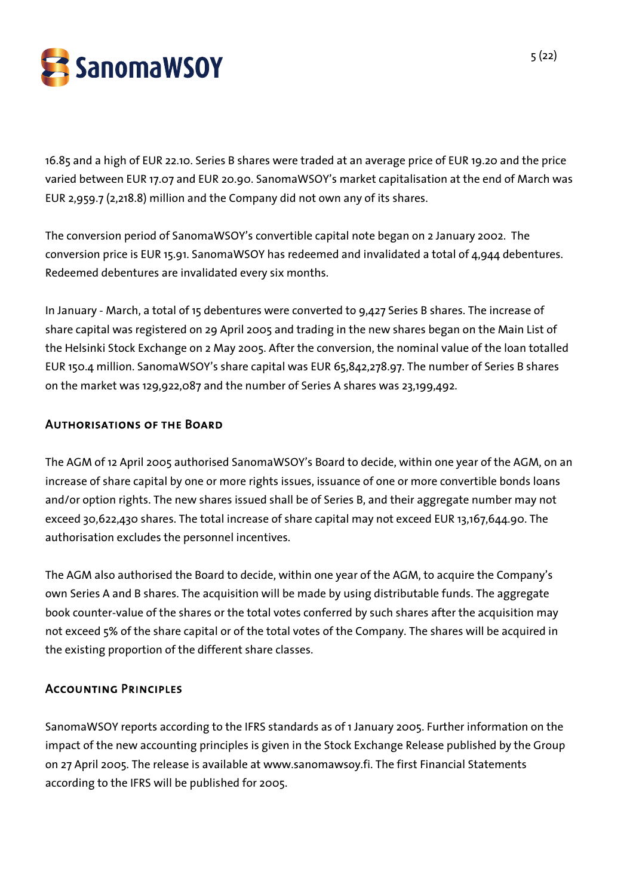

16.85 and a high of EUR 22.10. Series B shares were traded at an average price of EUR 19.20 and the price varied between EUR 17.07 and EUR 20.90. SanomaWSOY's market capitalisation at the end of March was EUR 2,959.7 (2,218.8) million and the Company did not own any of its shares.

The conversion period of SanomaWSOY's convertible capital note began on 2 January 2002. The conversion price is EUR 15.91. SanomaWSOY has redeemed and invalidated a total of 4,944 debentures. Redeemed debentures are invalidated every six months.

In January - March, a total of 15 debentures were converted to 9,427 Series B shares. The increase of share capital was registered on 29 April 2005 and trading in the new shares began on the Main List of the Helsinki Stock Exchange on 2 May 2005. After the conversion, the nominal value of the loan totalled EUR 150.4 million. SanomaWSOY's share capital was EUR 65,842,278.97. The number of Series B shares on the market was 129,922,087 and the number of Series A shares was 23,199,492.

## Authorisations of the Board

The AGM of 12 April 2005 authorised SanomaWSOY's Board to decide, within one year of the AGM, on an increase of share capital by one or more rights issues, issuance of one or more convertible bonds loans and/or option rights. The new shares issued shall be of Series B, and their aggregate number may not exceed 30,622,430 shares. The total increase of share capital may not exceed EUR 13,167,644.90. The authorisation excludes the personnel incentives.

The AGM also authorised the Board to decide, within one year of the AGM, to acquire the Company's own Series A and B shares. The acquisition will be made by using distributable funds. The aggregate book counter-value of the shares or the total votes conferred by such shares after the acquisition may not exceed 5% of the share capital or of the total votes of the Company. The shares will be acquired in the existing proportion of the different share classes.

## Accounting Principles

SanomaWSOY reports according to the IFRS standards as of 1 January 2005. Further information on the impact of the new accounting principles is given in the Stock Exchange Release published by the Group on 27 April 2005. The release is available at www.sanomawsoy.fi. The first Financial Statements according to the IFRS will be published for 2005.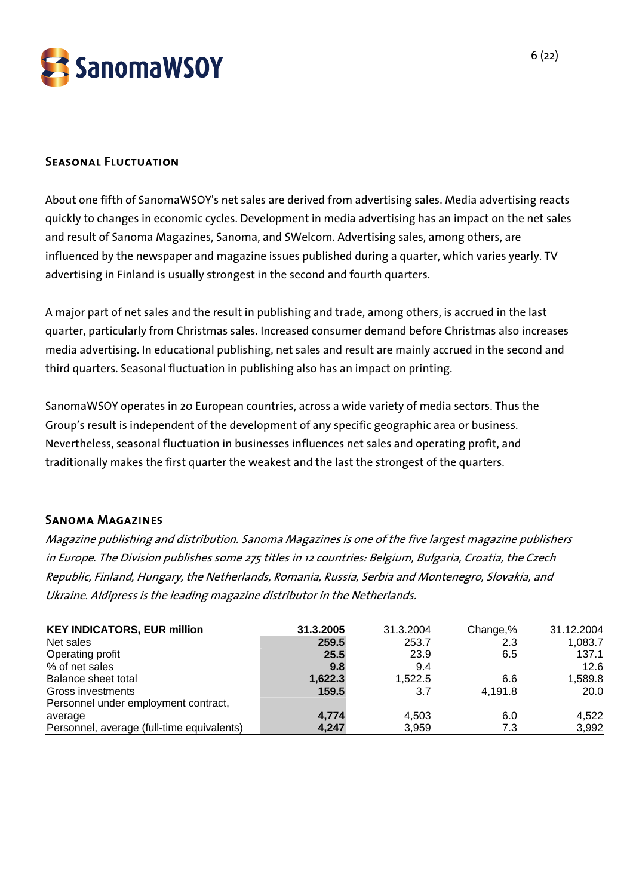

## Seasonal Fluctuation

About one fifth of SanomaWSOY's net sales are derived from advertising sales. Media advertising reacts quickly to changes in economic cycles. Development in media advertising has an impact on the net sales and result of Sanoma Magazines, Sanoma, and SWelcom. Advertising sales, among others, are influenced by the newspaper and magazine issues published during a quarter, which varies yearly. TV advertising in Finland is usually strongest in the second and fourth quarters.

A major part of net sales and the result in publishing and trade, among others, is accrued in the last quarter, particularly from Christmas sales. Increased consumer demand before Christmas also increases media advertising. In educational publishing, net sales and result are mainly accrued in the second and third quarters. Seasonal fluctuation in publishing also has an impact on printing.

SanomaWSOY operates in 20 European countries, across a wide variety of media sectors. Thus the Group's result is independent of the development of any specific geographic area or business. Nevertheless, seasonal fluctuation in businesses influences net sales and operating profit, and traditionally makes the first quarter the weakest and the last the strongest of the quarters.

### Sanoma Magazines

Magazine publishing and distribution. Sanoma Magazines is one of the five largest magazine publishers in Europe. The Division publishes some 275 titles in 12 countries: Belgium, Bulgaria, Croatia, the Czech Republic, Finland, Hungary, the Netherlands, Romania, Russia, Serbia and Montenegro, Slovakia, and Ukraine. Aldipress is the leading magazine distributor in the Netherlands.

| <b>KEY INDICATORS, EUR million</b>         | 31.3.2005 | 31.3.2004 | Change,% | 31.12.2004 |
|--------------------------------------------|-----------|-----------|----------|------------|
| Net sales                                  | 259.5     | 253.7     | 2.3      | 1,083.7    |
| Operating profit                           | 25.5      | 23.9      | 6.5      | 137.1      |
| % of net sales                             | 9.8       | 9.4       |          | 12.6       |
| Balance sheet total                        | 1,622.3   | 1.522.5   | 6.6      | 1,589.8    |
| Gross investments                          | 159.5     | 3.7       | 4,191.8  | 20.0       |
| Personnel under employment contract,       |           |           |          |            |
| average                                    | 4,774     | 4.503     | 6.0      | 4,522      |
| Personnel, average (full-time equivalents) | 4,247     | 3,959     | 7.3      | 3,992      |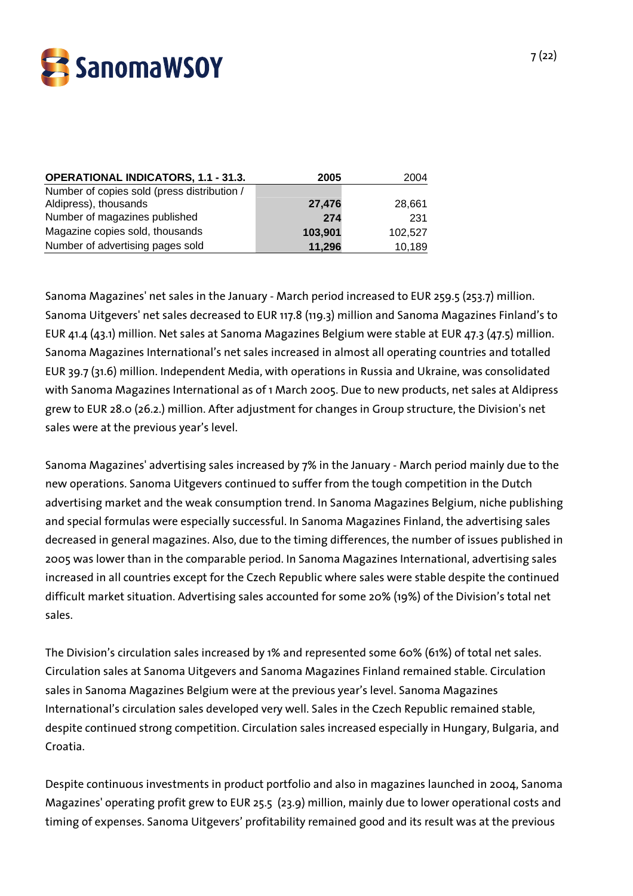

| <b>OPERATIONAL INDICATORS, 1.1 - 31.3.</b>  | 2005    | 2004    |
|---------------------------------------------|---------|---------|
| Number of copies sold (press distribution / |         |         |
| Aldipress), thousands                       | 27,476  | 28,661  |
| Number of magazines published               | 274     | 231     |
| Magazine copies sold, thousands             | 103,901 | 102,527 |
| Number of advertising pages sold            | 11,296  | 10,189  |

Sanoma Magazines' net sales in the January - March period increased to EUR 259.5 (253.7) million. Sanoma Uitgevers' net sales decreased to EUR 117.8 (119.3) million and Sanoma Magazines Finland's to EUR 41.4 (43.1) million. Net sales at Sanoma Magazines Belgium were stable at EUR 47.3 (47.5) million. Sanoma Magazines International's net sales increased in almost all operating countries and totalled EUR 39.7 (31.6) million. Independent Media, with operations in Russia and Ukraine, was consolidated with Sanoma Magazines International as of 1 March 2005. Due to new products, net sales at Aldipress grew to EUR 28.0 (26.2.) million. After adjustment for changes in Group structure, the Division's net sales were at the previous year's level.

Sanoma Magazines' advertising sales increased by 7% in the January - March period mainly due to the new operations. Sanoma Uitgevers continued to suffer from the tough competition in the Dutch advertising market and the weak consumption trend. In Sanoma Magazines Belgium, niche publishing and special formulas were especially successful. In Sanoma Magazines Finland, the advertising sales decreased in general magazines. Also, due to the timing differences, the number of issues published in 2005 was lower than in the comparable period. In Sanoma Magazines International, advertising sales increased in all countries except for the Czech Republic where sales were stable despite the continued difficult market situation. Advertising sales accounted for some 20% (19%) of the Division's total net sales.

The Division's circulation sales increased by 1% and represented some 60% (61%) of total net sales. Circulation sales at Sanoma Uitgevers and Sanoma Magazines Finland remained stable. Circulation sales in Sanoma Magazines Belgium were at the previous year's level. Sanoma Magazines International's circulation sales developed very well. Sales in the Czech Republic remained stable, despite continued strong competition. Circulation sales increased especially in Hungary, Bulgaria, and Croatia.

Despite continuous investments in product portfolio and also in magazines launched in 2004, Sanoma Magazines' operating profit grew to EUR 25.5 (23.9) million, mainly due to lower operational costs and timing of expenses. Sanoma Uitgevers' profitability remained good and its result was at the previous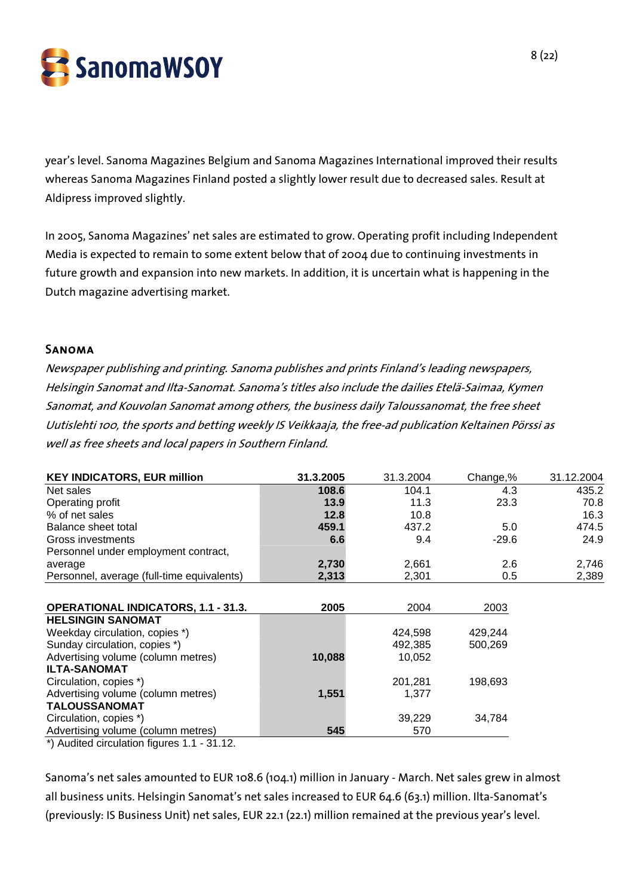

year's level. Sanoma Magazines Belgium and Sanoma Magazines International improved their results whereas Sanoma Magazines Finland posted a slightly lower result due to decreased sales. Result at Aldipress improved slightly.

In 2005, Sanoma Magazines' net sales are estimated to grow. Operating profit including Independent Media is expected to remain to some extent below that of 2004 due to continuing investments in future growth and expansion into new markets. In addition, it is uncertain what is happening in the Dutch magazine advertising market.

#### Sanoma

Newspaper publishing and printing. Sanoma publishes and prints Finland's leading newspapers, Helsingin Sanomat and Ilta-Sanomat. Sanoma's titles also include the dailies Etelä-Saimaa, Kymen Sanomat, and Kouvolan Sanomat among others, the business daily Taloussanomat, the free sheet Uutislehti 100, the sports and betting weekly IS Veikkaaja, the free-ad publication Keltainen Pörssi as well as free sheets and local papers in Southern Finland.

| <b>KEY INDICATORS, EUR million</b>         | 31.3.2005 | 31.3.2004 | Change,% | 31.12.2004 |
|--------------------------------------------|-----------|-----------|----------|------------|
| Net sales                                  | 108.6     | 104.1     | 4.3      | 435.2      |
| Operating profit                           | 13.9      | 11.3      | 23.3     | 70.8       |
| % of net sales                             | 12.8      | 10.8      |          | 16.3       |
| Balance sheet total                        | 459.1     | 437.2     | 5.0      | 474.5      |
| Gross investments                          | 6.6       | 9.4       | $-29.6$  | 24.9       |
| Personnel under employment contract,       |           |           |          |            |
| average                                    | 2,730     | 2,661     | 2.6      | 2,746      |
| Personnel, average (full-time equivalents) | 2,313     | 2,301     | 0.5      | 2,389      |
|                                            |           |           |          |            |
| <b>OPERATIONAL INDICATORS, 1.1 - 31.3.</b> | 2005      | 2004      | 2003     |            |
| <b>HELSINGIN SANOMAT</b>                   |           |           |          |            |
| Weekday circulation, copies *)             |           | 424,598   | 429,244  |            |
| Sunday circulation, copies *)              |           | 492,385   | 500.269  |            |
| Advertising volume (column metres)         | 10,088    | 10,052    |          |            |
| <b>ILTA-SANOMAT</b>                        |           |           |          |            |
| Circulation, copies *)                     |           | 201,281   | 198,693  |            |
| Advertising volume (column metres)         | 1,551     | 1,377     |          |            |
| <b>TALOUSSANOMAT</b>                       |           |           |          |            |
| Circulation, copies *)                     |           | 39,229    | 34,784   |            |
| Advertising volume (column metres)         | 545       | 570       |          |            |
| *) Audited circulation figures 1 1 - 31 12 |           |           |          |            |

\*) Audited circulation figures 1.1 - 31.12.

Sanoma's net sales amounted to EUR 108.6 (104.1) million in January - March. Net sales grew in almost all business units. Helsingin Sanomat's net sales increased to EUR 64.6 (63.1) million. Ilta-Sanomat's (previously: IS Business Unit) net sales, EUR 22.1 (22.1) million remained at the previous year's level.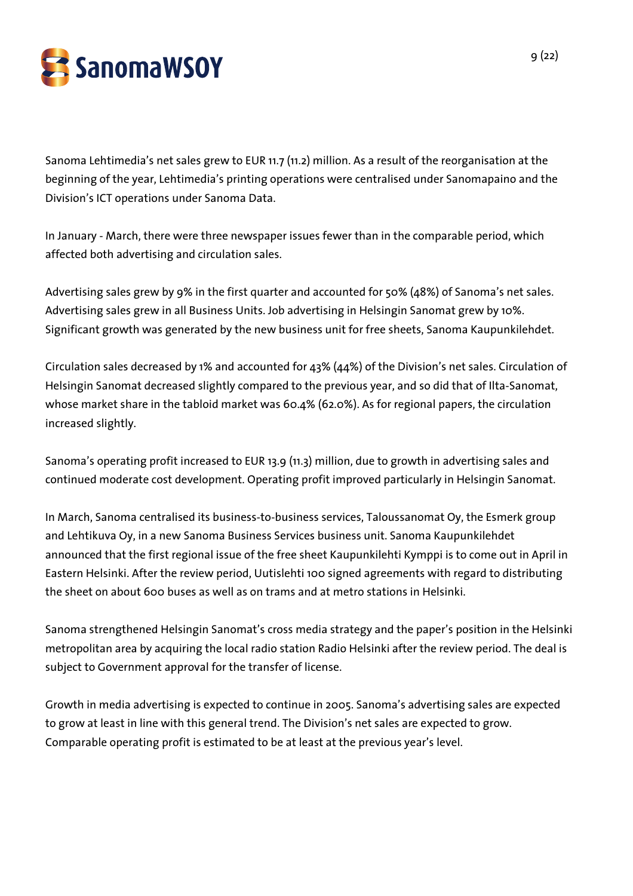

Sanoma Lehtimedia's net sales grew to EUR 11.7 (11.2) million. As a result of the reorganisation at the beginning of the year, Lehtimedia's printing operations were centralised under Sanomapaino and the Division's ICT operations under Sanoma Data.

In January - March, there were three newspaper issues fewer than in the comparable period, which affected both advertising and circulation sales.

Advertising sales grew by 9% in the first quarter and accounted for 50% (48%) of Sanoma's net sales. Advertising sales grew in all Business Units. Job advertising in Helsingin Sanomat grew by 10%. Significant growth was generated by the new business unit for free sheets, Sanoma Kaupunkilehdet.

Circulation sales decreased by 1% and accounted for 43% (44%) of the Division's net sales. Circulation of Helsingin Sanomat decreased slightly compared to the previous year, and so did that of Ilta-Sanomat, whose market share in the tabloid market was 60.4% (62.0%). As for regional papers, the circulation increased slightly.

Sanoma's operating profit increased to EUR 13.9 (11.3) million, due to growth in advertising sales and continued moderate cost development. Operating profit improved particularly in Helsingin Sanomat.

In March, Sanoma centralised its business-to-business services, Taloussanomat Oy, the Esmerk group and Lehtikuva Oy, in a new Sanoma Business Services business unit. Sanoma Kaupunkilehdet announced that the first regional issue of the free sheet Kaupunkilehti Kymppi is to come out in April in Eastern Helsinki. After the review period, Uutislehti 100 signed agreements with regard to distributing the sheet on about 600 buses as well as on trams and at metro stations in Helsinki.

Sanoma strengthened Helsingin Sanomat's cross media strategy and the paper's position in the Helsinki metropolitan area by acquiring the local radio station Radio Helsinki after the review period. The deal is subject to Government approval for the transfer of license.

Growth in media advertising is expected to continue in 2005. Sanoma's advertising sales are expected to grow at least in line with this general trend. The Division's net sales are expected to grow. Comparable operating profit is estimated to be at least at the previous year's level.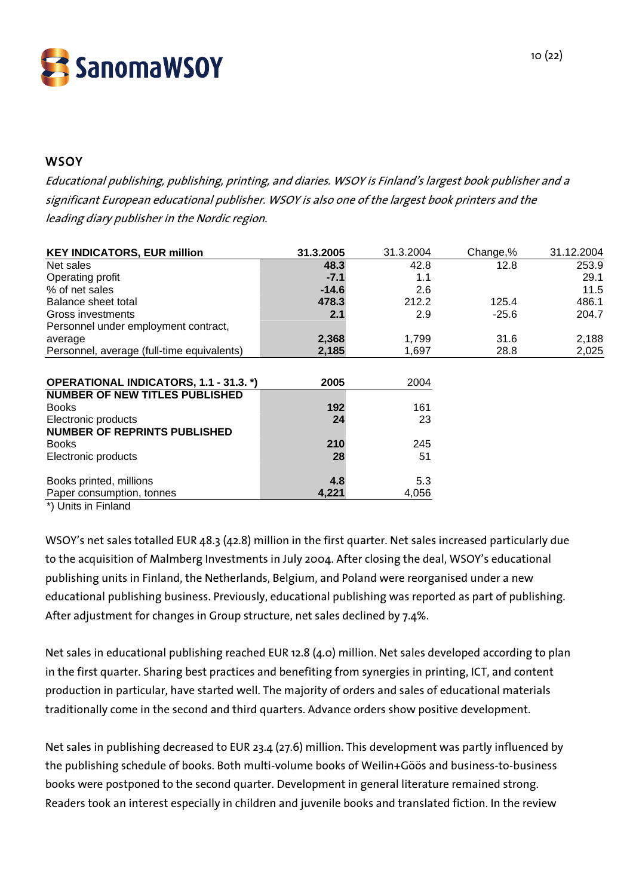

## **WSOY**

Educational publishing, publishing, printing, and diaries. WSOY is Finland's largest book publisher and a significant European educational publisher. WSOY is also one of the largest book printers and the leading diary publisher in the Nordic region.

| <b>KEY INDICATORS, EUR million</b>               | 31.3.2005 | 31.3.2004 | Change,% | 31.12.2004 |
|--------------------------------------------------|-----------|-----------|----------|------------|
| Net sales                                        | 48.3      | 42.8      | 12.8     | 253.9      |
| Operating profit                                 | $-7.1$    | 1.1       |          | 29.1       |
| % of net sales                                   | $-14.6$   | 2.6       |          | 11.5       |
| Balance sheet total                              | 478.3     | 212.2     | 125.4    | 486.1      |
| Gross investments                                | 2.1       | 2.9       | $-25.6$  | 204.7      |
| Personnel under employment contract,             |           |           |          |            |
| average                                          | 2,368     | 1,799     | 31.6     | 2,188      |
| Personnel, average (full-time equivalents)       | 2,185     | 1,697     | 28.8     | 2,025      |
|                                                  |           |           |          |            |
| <b>OPERATIONAL INDICATORS, 1.1 - 31.3. *)</b>    | 2005      | 2004      |          |            |
| <b>NUMBER OF NEW TITLES PUBLISHED</b>            |           |           |          |            |
| <b>Books</b>                                     | 192       | 161       |          |            |
| Electronic products                              | 24        | 23        |          |            |
| <b>NUMBER OF REPRINTS PUBLISHED</b>              |           |           |          |            |
| <b>Books</b>                                     | 210       | 245       |          |            |
| Electronic products                              | 28        | 51        |          |            |
|                                                  |           |           |          |            |
| Books printed, millions                          | 4.8       | 5.3       |          |            |
| Paper consumption, tonnes<br>全体 ししゅうしょう アクシリティール | 4,221     | 4,056     |          |            |

\*) Units in Finland

WSOY's net sales totalled EUR 48.3 (42.8) million in the first quarter. Net sales increased particularly due to the acquisition of Malmberg Investments in July 2004. After closing the deal, WSOY's educational publishing units in Finland, the Netherlands, Belgium, and Poland were reorganised under a new educational publishing business. Previously, educational publishing was reported as part of publishing. After adjustment for changes in Group structure, net sales declined by 7.4%.

Net sales in educational publishing reached EUR 12.8 (4.0) million. Net sales developed according to plan in the first quarter. Sharing best practices and benefiting from synergies in printing, ICT, and content production in particular, have started well. The majority of orders and sales of educational materials traditionally come in the second and third quarters. Advance orders show positive development.

Net sales in publishing decreased to EUR 23.4 (27.6) million. This development was partly influenced by the publishing schedule of books. Both multi-volume books of Weilin+Göös and business-to-business books were postponed to the second quarter. Development in general literature remained strong. Readers took an interest especially in children and juvenile books and translated fiction. In the review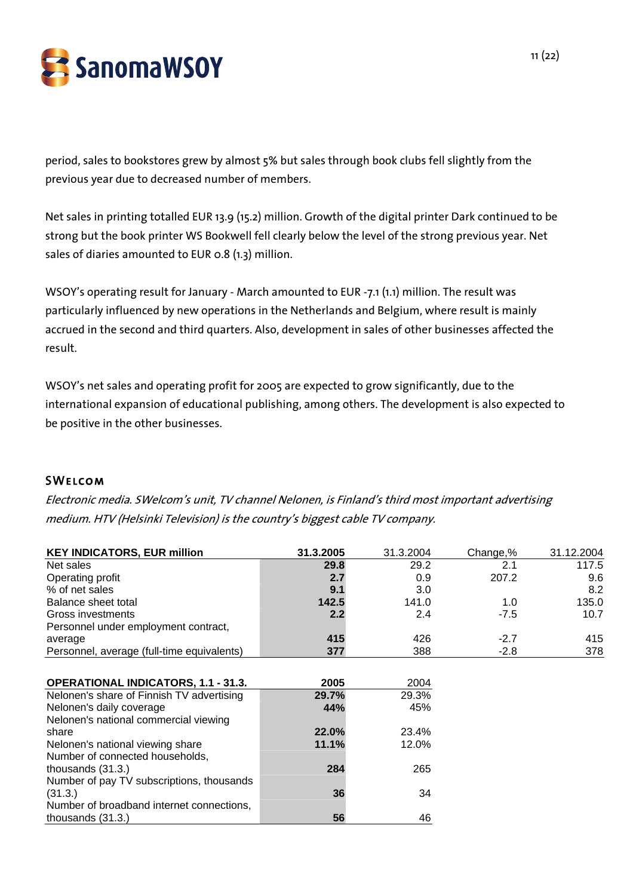

period, sales to bookstores grew by almost 5% but sales through book clubs fell slightly from the previous year due to decreased number of members.

Net sales in printing totalled EUR 13.9 (15.2) million. Growth of the digital printer Dark continued to be strong but the book printer WS Bookwell fell clearly below the level of the strong previous year. Net sales of diaries amounted to EUR 0.8 (1.3) million.

WSOY's operating result for January - March amounted to EUR -7.1 (1.1) million. The result was particularly influenced by new operations in the Netherlands and Belgium, where result is mainly accrued in the second and third quarters. Also, development in sales of other businesses affected the result.

WSOY's net sales and operating profit for 2005 are expected to grow significantly, due to the international expansion of educational publishing, among others. The development is also expected to be positive in the other businesses.

# **SWELCOM**

Electronic media. SWelcom's unit, TV channel Nelonen, is Finland's third most important advertising medium. HTV (Helsinki Television) is the country's biggest cable TV company.

| <b>KEY INDICATORS, EUR million</b>         | 31.3.2005 | 31.3.2004 | Change,% | 31.12.2004 |
|--------------------------------------------|-----------|-----------|----------|------------|
| Net sales                                  | 29.8      | 29.2      | 2.1      | 117.5      |
| Operating profit                           | 2.7       | 0.9       | 207.2    | 9.6        |
| % of net sales                             | 9.1       | 3.0       |          | 8.2        |
| Balance sheet total                        | 142.5     | 141.0     | 1.0      | 135.0      |
| Gross investments                          | 2.2       | 2.4       | $-7.5$   | 10.7       |
| Personnel under employment contract,       |           |           |          |            |
| average                                    | 415       | 426       | $-2.7$   | 415        |
| Personnel, average (full-time equivalents) | 377       | 388       | $-2.8$   | 378        |
|                                            |           |           |          |            |
| <b>OPERATIONAL INDICATORS, 1.1 - 31.3.</b> | 2005      | 2004      |          |            |
| Nelonen's share of Finnish TV advertising  | 29.7%     | 29.3%     |          |            |
| Nelonen's daily coverage                   | 44%       | 45%       |          |            |
| Nelonen's national commercial viewing      |           |           |          |            |
| share                                      | 22.0%     | 23.4%     |          |            |
| Nelonen's national viewing share           | 11.1%     | 12.0%     |          |            |
| Number of connected households,            |           |           |          |            |
| thousands $(31.3.)$                        | 284       | 265       |          |            |
| Number of pay TV subscriptions, thousands  |           |           |          |            |
| (31.3.)                                    | 36        | 34        |          |            |
| Number of broadband internet connections,  |           |           |          |            |
| thousands (31.3.)                          | 56        | 46        |          |            |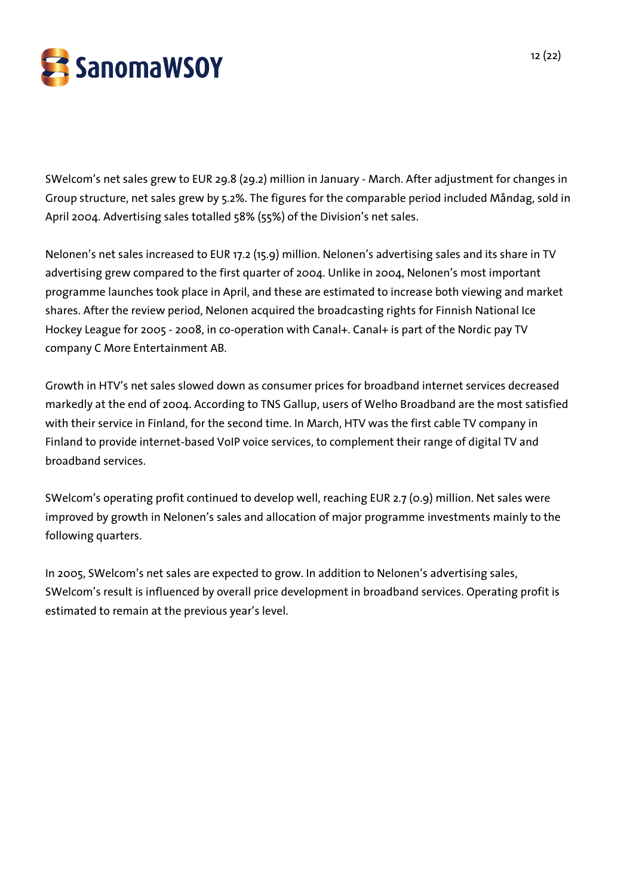

SWelcom's net sales grew to EUR 29.8 (29.2) million in January - March. After adjustment for changes in Group structure, net sales grew by 5.2%. The figures for the comparable period included Måndag, sold in April 2004. Advertising sales totalled 58% (55%) of the Division's net sales.

Nelonen's net sales increased to EUR 17.2 (15.9) million. Nelonen's advertising sales and its share in TV advertising grew compared to the first quarter of 2004. Unlike in 2004, Nelonen's most important programme launches took place in April, and these are estimated to increase both viewing and market shares. After the review period, Nelonen acquired the broadcasting rights for Finnish National Ice Hockey League for 2005 - 2008, in co-operation with Canal+. Canal+ is part of the Nordic pay TV company C More Entertainment AB.

Growth in HTV's net sales slowed down as consumer prices for broadband internet services decreased markedly at the end of 2004. According to TNS Gallup, users of Welho Broadband are the most satisfied with their service in Finland, for the second time. In March, HTV was the first cable TV company in Finland to provide internet-based VoIP voice services, to complement their range of digital TV and broadband services.

SWelcom's operating profit continued to develop well, reaching EUR 2.7 (0.9) million. Net sales were improved by growth in Nelonen's sales and allocation of major programme investments mainly to the following quarters.

In 2005, SWelcom's net sales are expected to grow. In addition to Nelonen's advertising sales, SWelcom's result is influenced by overall price development in broadband services. Operating profit is estimated to remain at the previous year's level.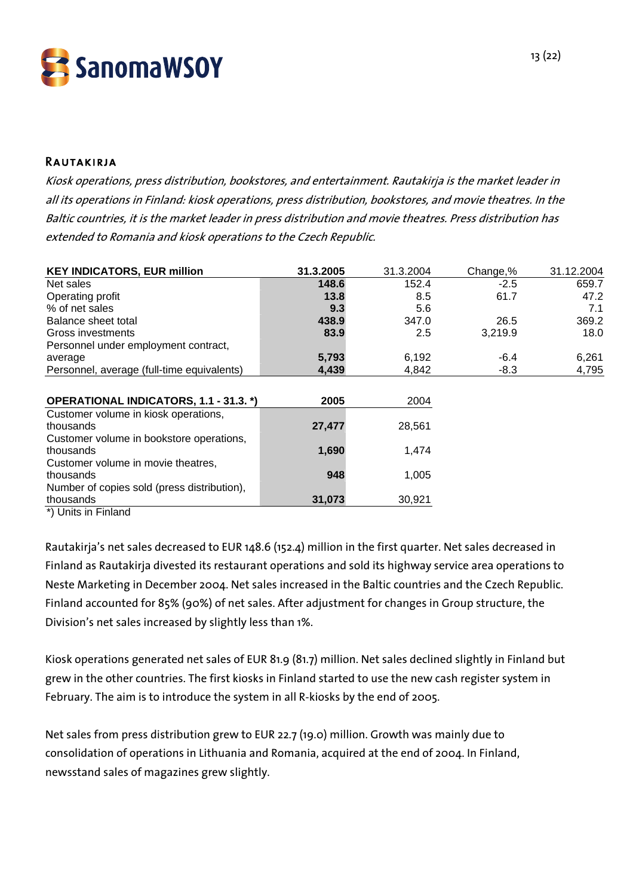

## Rautakirja

Kiosk operations, press distribution, bookstores, and entertainment. Rautakirja is the market leader in all its operations in Finland: kiosk operations, press distribution, bookstores, and movie theatres. In the Baltic countries, it is the market leader in press distribution and movie theatres. Press distribution has extended to Romania and kiosk operations to the Czech Republic.

| <b>KEY INDICATORS, EUR million</b>          | 31.3.2005 | 31.3.2004 | Change,% | 31.12.2004 |
|---------------------------------------------|-----------|-----------|----------|------------|
| Net sales                                   | 148.6     | 152.4     | $-2.5$   | 659.7      |
| Operating profit                            | 13.8      | 8.5       | 61.7     | 47.2       |
| % of net sales                              | 9.3       | 5.6       |          | 7.1        |
| Balance sheet total                         | 438.9     | 347.0     | 26.5     | 369.2      |
| Gross investments                           | 83.9      | 2.5       | 3,219.9  | 18.0       |
| Personnel under employment contract,        |           |           |          |            |
| average                                     | 5,793     | 6,192     | $-6.4$   | 6,261      |
| Personnel, average (full-time equivalents)  | 4,439     | 4,842     | $-8.3$   | 4,795      |
| OPERATIONAL INDICATORS, 1.1 - 31.3. *)      | 2005      | 2004      |          |            |
| Customer volume in kiosk operations,        |           |           |          |            |
| thousands                                   | 27,477    | 28,561    |          |            |
| Customer volume in bookstore operations,    |           |           |          |            |
| thousands                                   | 1,690     | 1,474     |          |            |
| Customer volume in movie theatres,          |           |           |          |            |
| thousands                                   | 948       | 1,005     |          |            |
| Number of copies sold (press distribution), |           |           |          |            |
| thousands                                   | 31,073    | 30,921    |          |            |
| *) Units in Finland                         |           |           |          |            |

Rautakirja's net sales decreased to EUR 148.6 (152.4) million in the first quarter. Net sales decreased in Finland as Rautakirja divested its restaurant operations and sold its highway service area operations to Neste Marketing in December 2004. Net sales increased in the Baltic countries and the Czech Republic. Finland accounted for 85% (90%) of net sales. After adjustment for changes in Group structure, the Division's net sales increased by slightly less than 1%.

Kiosk operations generated net sales of EUR 81.9 (81.7) million. Net sales declined slightly in Finland but grew in the other countries. The first kiosks in Finland started to use the new cash register system in February. The aim is to introduce the system in all R-kiosks by the end of 2005.

Net sales from press distribution grew to EUR 22.7 (19.0) million. Growth was mainly due to consolidation of operations in Lithuania and Romania, acquired at the end of 2004. In Finland, newsstand sales of magazines grew slightly.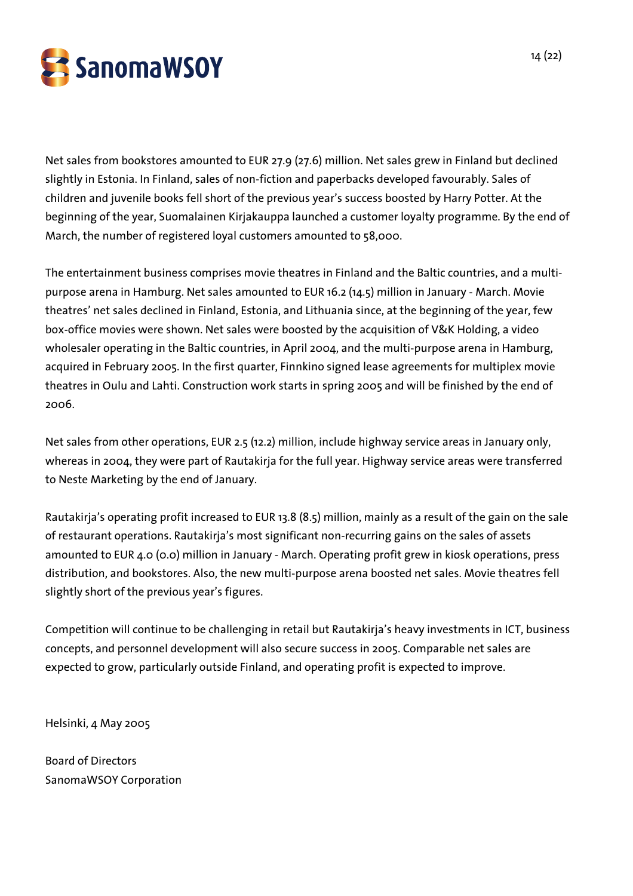

Net sales from bookstores amounted to EUR 27.9 (27.6) million. Net sales grew in Finland but declined slightly in Estonia. In Finland, sales of non-fiction and paperbacks developed favourably. Sales of children and juvenile books fell short of the previous year's success boosted by Harry Potter. At the beginning of the year, Suomalainen Kirjakauppa launched a customer loyalty programme. By the end of March, the number of registered loyal customers amounted to 58,000.

The entertainment business comprises movie theatres in Finland and the Baltic countries, and a multipurpose arena in Hamburg. Net sales amounted to EUR 16.2 (14.5) million in January - March. Movie theatres' net sales declined in Finland, Estonia, and Lithuania since, at the beginning of the year, few box-office movies were shown. Net sales were boosted by the acquisition of V&K Holding, a video wholesaler operating in the Baltic countries, in April 2004, and the multi-purpose arena in Hamburg, acquired in February 2005. In the first quarter, Finnkino signed lease agreements for multiplex movie theatres in Oulu and Lahti. Construction work starts in spring 2005 and will be finished by the end of 2006.

Net sales from other operations, EUR 2.5 (12.2) million, include highway service areas in January only, whereas in 2004, they were part of Rautakirja for the full year. Highway service areas were transferred to Neste Marketing by the end of January.

Rautakirja's operating profit increased to EUR 13.8 (8.5) million, mainly as a result of the gain on the sale of restaurant operations. Rautakirja's most significant non-recurring gains on the sales of assets amounted to EUR 4.0 (0.0) million in January - March. Operating profit grew in kiosk operations, press distribution, and bookstores. Also, the new multi-purpose arena boosted net sales. Movie theatres fell slightly short of the previous year's figures.

Competition will continue to be challenging in retail but Rautakirja's heavy investments in ICT, business concepts, and personnel development will also secure success in 2005. Comparable net sales are expected to grow, particularly outside Finland, and operating profit is expected to improve.

Helsinki, 4 May 2005

Board of Directors SanomaWSOY Corporation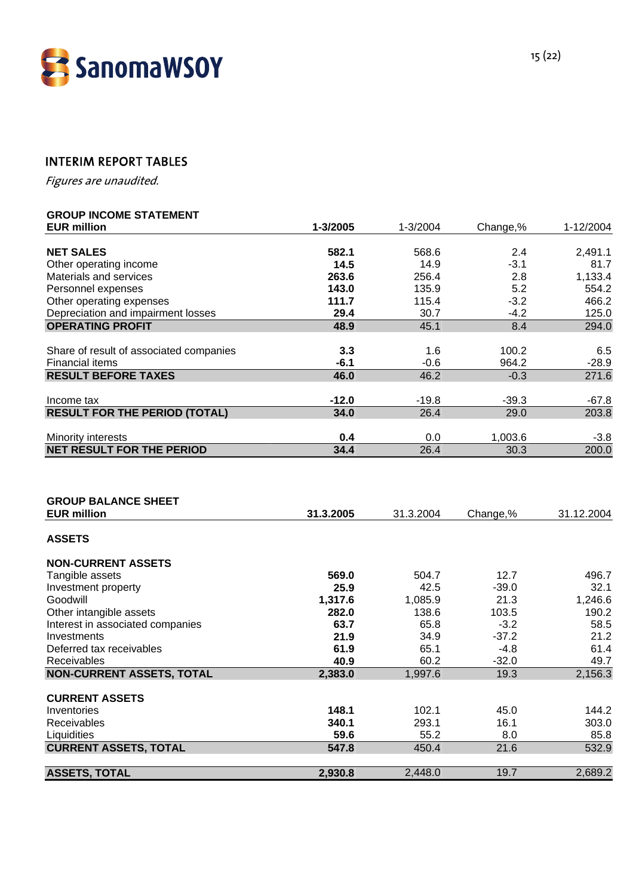

# INTERIM REPORT TABLES

Figures are unaudited.

# **GROUP INCOME STATEMENT**

| <b>EUR million</b>                               | 1-3/2005  | 1-3/2004  | Change,% | 1-12/2004  |
|--------------------------------------------------|-----------|-----------|----------|------------|
|                                                  |           |           |          |            |
| <b>NET SALES</b>                                 | 582.1     | 568.6     | 2.4      | 2,491.1    |
| Other operating income                           | 14.5      | 14.9      | $-3.1$   | 81.7       |
| Materials and services                           | 263.6     | 256.4     | 2.8      | 1,133.4    |
| Personnel expenses                               | 143.0     | 135.9     | 5.2      | 554.2      |
| Other operating expenses                         | 111.7     | 115.4     | $-3.2$   | 466.2      |
| Depreciation and impairment losses               | 29.4      | 30.7      | $-4.2$   | 125.0      |
| <b>OPERATING PROFIT</b>                          | 48.9      | 45.1      | 8.4      | 294.0      |
| Share of result of associated companies          | 3.3       | 1.6       | 100.2    | 6.5        |
| <b>Financial items</b>                           | $-6.1$    | $-0.6$    | 964.2    | $-28.9$    |
| <b>RESULT BEFORE TAXES</b>                       | 46.0      | 46.2      | $-0.3$   | 271.6      |
|                                                  |           |           |          |            |
| Income tax                                       | $-12.0$   | $-19.8$   | $-39.3$  | $-67.8$    |
| <b>RESULT FOR THE PERIOD (TOTAL)</b>             | 34.0      | 26.4      | 29.0     | 203.8      |
|                                                  |           |           |          |            |
| Minority interests                               | 0.4       | 0.0       | 1,003.6  | $-3.8$     |
| <b>NET RESULT FOR THE PERIOD</b>                 | 34.4      | 26.4      | 30.3     | 200.0      |
| <b>GROUP BALANCE SHEET</b><br><b>EUR million</b> | 31.3.2005 | 31.3.2004 | Change,% | 31.12.2004 |
| <b>ASSETS</b>                                    |           |           |          |            |
| <b>NON-CURRENT ASSETS</b>                        |           |           |          |            |
| Tangible assets                                  | 569.0     | 504.7     | 12.7     | 496.7      |
| Investment property                              | 25.9      | 42.5      | $-39.0$  | 32.1       |
| Goodwill                                         | 1,317.6   | 1,085.9   | 21.3     | 1,246.6    |
| Other intangible assets                          | 282.0     | 138.6     | 103.5    | 190.2      |
| Interest in associated companies                 | 63.7      | 65.8      | $-3.2$   | 58.5       |
| Investments                                      | 21.9      | 34.9      | $-37.2$  | 21.2       |
| Deferred tax receivables                         | 61.9      | 65.1      | $-4.8$   | 61.4       |
| Receivables                                      | 40.9      | 60.2      | $-32.0$  | 49.7       |
| <b>NON-CURRENT ASSETS, TOTAL</b>                 | 2,383.0   | 1,997.6   | 19.3     | 2,156.3    |
|                                                  |           |           |          |            |
| <b>CURRENT ASSETS</b><br>Inventories             | 148.1     | 102.1     | 45.0     | 144.2      |
| Receivables                                      | 340.1     | 293.1     | 16.1     | 303.0      |
| Liquidities                                      | 59.6      | 55.2      | 8.0      | 85.8       |
| <b>CURRENT ASSETS, TOTAL</b>                     | 547.8     | 450.4     | 21.6     | 532.9      |
|                                                  |           |           |          |            |

**ASSETS, TOTAL** 2,930.8 2,448.0 19.7 2,689.2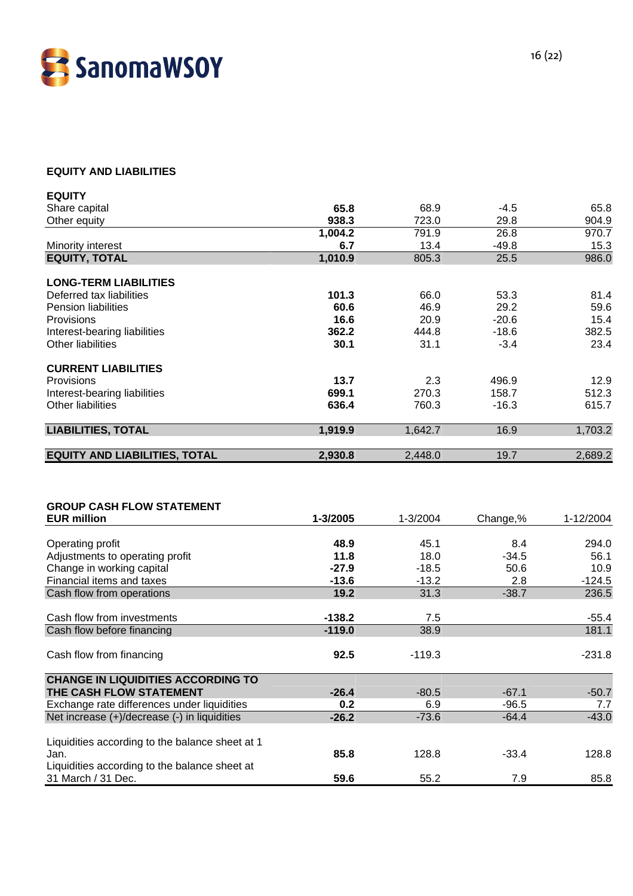

## **EQUITY AND LIABILITIES**

| <b>EQUITY</b>                        |         |         |         |         |
|--------------------------------------|---------|---------|---------|---------|
| Share capital                        | 65.8    | 68.9    | $-4.5$  | 65.8    |
| Other equity                         | 938.3   | 723.0   | 29.8    | 904.9   |
|                                      | 1,004.2 | 791.9   | 26.8    | 970.7   |
| Minority interest                    | 6.7     | 13.4    | $-49.8$ | 15.3    |
| <b>EQUITY, TOTAL</b>                 | 1,010.9 | 805.3   | 25.5    | 986.0   |
| <b>LONG-TERM LIABILITIES</b>         |         |         |         |         |
| Deferred tax liabilities             | 101.3   | 66.0    | 53.3    | 81.4    |
| <b>Pension liabilities</b>           | 60.6    | 46.9    | 29.2    | 59.6    |
| Provisions                           | 16.6    | 20.9    | $-20.6$ | 15.4    |
| Interest-bearing liabilities         | 362.2   | 444.8   | $-18.6$ | 382.5   |
| <b>Other liabilities</b>             | 30.1    | 31.1    | $-3.4$  | 23.4    |
| <b>CURRENT LIABILITIES</b>           |         |         |         |         |
| Provisions                           | 13.7    | 2.3     | 496.9   | 12.9    |
| Interest-bearing liabilities         | 699.1   | 270.3   | 158.7   | 512.3   |
| <b>Other liabilities</b>             | 636.4   | 760.3   | $-16.3$ | 615.7   |
| <b>LIABILITIES, TOTAL</b>            | 1,919.9 | 1,642.7 | 16.9    | 1,703.2 |
| <b>EQUITY AND LIABILITIES, TOTAL</b> | 2,930.8 | 2,448.0 | 19.7    | 2,689.2 |

| <b>GROUP CASH FLOW STATEMENT</b>                |          |          |          |           |
|-------------------------------------------------|----------|----------|----------|-----------|
| <b>EUR million</b>                              | 1-3/2005 | 1-3/2004 | Change,% | 1-12/2004 |
|                                                 |          |          |          |           |
| Operating profit                                | 48.9     | 45.1     | 8.4      | 294.0     |
| Adjustments to operating profit                 | 11.8     | 18.0     | $-34.5$  | 56.1      |
| Change in working capital                       | $-27.9$  | $-18.5$  | 50.6     | 10.9      |
| Financial items and taxes                       | $-13.6$  | $-13.2$  | 2.8      | $-124.5$  |
| Cash flow from operations                       | 19.2     | 31.3     | $-38.7$  | 236.5     |
|                                                 |          |          |          |           |
| Cash flow from investments                      | $-138.2$ | 7.5      |          | $-55.4$   |
| Cash flow before financing                      | $-119.0$ | 38.9     |          | 181.1     |
|                                                 |          |          |          |           |
| Cash flow from financing                        | 92.5     | $-119.3$ |          | $-231.8$  |
|                                                 |          |          |          |           |
| <b>CHANGE IN LIQUIDITIES ACCORDING TO</b>       |          |          |          |           |
| THE CASH FLOW STATEMENT                         | $-26.4$  | $-80.5$  | $-67.1$  | $-50.7$   |
| Exchange rate differences under liquidities     | 0.2      | 6.9      | $-96.5$  | 7.7       |
| Net increase (+)/decrease (-) in liquidities    | $-26.2$  | $-73.6$  | $-64.4$  | $-43.0$   |
|                                                 |          |          |          |           |
| Liquidities according to the balance sheet at 1 |          |          |          |           |
| Jan.                                            | 85.8     | 128.8    | $-33.4$  | 128.8     |
| Liquidities according to the balance sheet at   |          |          |          |           |
| 31 March / 31 Dec.                              | 59.6     | 55.2     | 7.9      | 85.8      |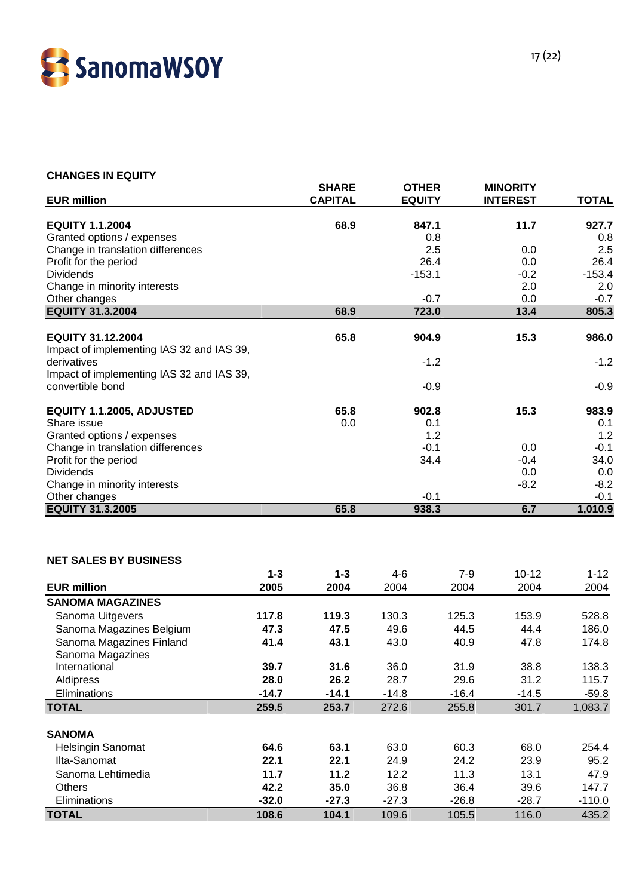

### **CHANGES IN EQUITY**

|                                                               | <b>SHARE</b>   | <b>OTHER</b>  | <b>MINORITY</b> |              |
|---------------------------------------------------------------|----------------|---------------|-----------------|--------------|
| <b>EUR million</b>                                            | <b>CAPITAL</b> | <b>EQUITY</b> | <b>INTEREST</b> | <b>TOTAL</b> |
| <b>EQUITY 1.1.2004</b>                                        | 68.9           | 847.1         | 11.7            | 927.7        |
| Granted options / expenses                                    |                | 0.8           |                 | 0.8          |
| Change in translation differences                             |                | 2.5           | 0.0             | 2.5          |
| Profit for the period                                         |                | 26.4          | 0.0             | 26.4         |
| <b>Dividends</b>                                              |                | $-153.1$      | $-0.2$          | $-153.4$     |
| Change in minority interests                                  |                |               | 2.0             | 2.0          |
| Other changes                                                 |                | $-0.7$        | 0.0             | $-0.7$       |
| <b>EQUITY 31.3.2004</b>                                       | 68.9           | 723.0         | 13.4            | 805.3        |
|                                                               |                |               |                 |              |
| <b>EQUITY 31.12.2004</b>                                      | 65.8           | 904.9         | 15.3            | 986.0        |
| Impact of implementing IAS 32 and IAS 39,                     |                |               |                 |              |
| derivatives                                                   |                | $-1.2$        |                 | $-1.2$       |
| Impact of implementing IAS 32 and IAS 39,<br>convertible bond |                |               |                 | $-0.9$       |
|                                                               |                | $-0.9$        |                 |              |
| EQUITY 1.1.2005, ADJUSTED                                     | 65.8           | 902.8         | 15.3            | 983.9        |
| Share issue                                                   | 0.0            | 0.1           |                 | 0.1          |
| Granted options / expenses                                    |                | 1.2           |                 | 1.2          |
| Change in translation differences                             |                | $-0.1$        | 0.0             | $-0.1$       |
| Profit for the period                                         |                | 34.4          | $-0.4$          | 34.0         |
| <b>Dividends</b>                                              |                |               | 0.0             | 0.0          |
| Change in minority interests                                  |                |               | $-8.2$          | $-8.2$       |
| Other changes                                                 |                | $-0.1$        |                 | $-0.1$       |
| <b>EQUITY 31.3.2005</b>                                       | 65.8           | 938.3         | 6.7             | 1,010.9      |

#### **NET SALES BY BUSINESS**

|                          | $1 - 3$ | $1 - 3$ | 4-6     | $7-9$   | $10 - 12$ | $1 - 12$ |
|--------------------------|---------|---------|---------|---------|-----------|----------|
| <b>EUR million</b>       | 2005    | 2004    | 2004    | 2004    | 2004      | 2004     |
| <b>SANOMA MAGAZINES</b>  |         |         |         |         |           |          |
| Sanoma Uitgevers         | 117.8   | 119.3   | 130.3   | 125.3   | 153.9     | 528.8    |
| Sanoma Magazines Belgium | 47.3    | 47.5    | 49.6    | 44.5    | 44.4      | 186.0    |
| Sanoma Magazines Finland | 41.4    | 43.1    | 43.0    | 40.9    | 47.8      | 174.8    |
| Sanoma Magazines         |         |         |         |         |           |          |
| International            | 39.7    | 31.6    | 36.0    | 31.9    | 38.8      | 138.3    |
| Aldipress                | 28.0    | 26.2    | 28.7    | 29.6    | 31.2      | 115.7    |
| <b>Eliminations</b>      | $-14.7$ | $-14.1$ | $-14.8$ | $-16.4$ | $-14.5$   | $-59.8$  |
| <b>TOTAL</b>             | 259.5   | 253.7   | 272.6   | 255.8   | 301.7     | 1,083.7  |
|                          |         |         |         |         |           |          |
| <b>SANOMA</b>            |         |         |         |         |           |          |
| <b>Helsingin Sanomat</b> | 64.6    | 63.1    | 63.0    | 60.3    | 68.0      | 254.4    |
| Ilta-Sanomat             | 22.1    | 22.1    | 24.9    | 24.2    | 23.9      | 95.2     |
| Sanoma Lehtimedia        | 11.7    | 11.2    | 12.2    | 11.3    | 13.1      | 47.9     |
| <b>Others</b>            | 42.2    | 35.0    | 36.8    | 36.4    | 39.6      | 147.7    |
| Eliminations             | $-32.0$ | $-27.3$ | $-27.3$ | $-26.8$ | $-28.7$   | $-110.0$ |
| <b>TOTAL</b>             | 108.6   | 104.1   | 109.6   | 105.5   | 116.0     | 435.2    |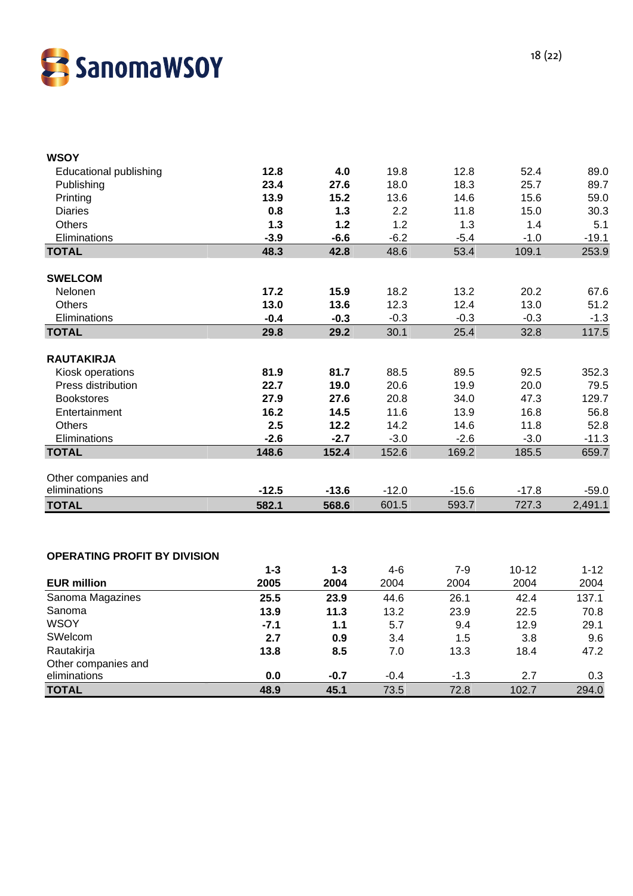

| <b>WSOY</b>                   |         |         |         |         |         |         |
|-------------------------------|---------|---------|---------|---------|---------|---------|
| <b>Educational publishing</b> | 12.8    | 4.0     | 19.8    | 12.8    | 52.4    | 89.0    |
| Publishing                    | 23.4    | 27.6    | 18.0    | 18.3    | 25.7    | 89.7    |
| Printing                      | 13.9    | 15.2    | 13.6    | 14.6    | 15.6    | 59.0    |
| <b>Diaries</b>                | 0.8     | 1.3     | 2.2     | 11.8    | 15.0    | 30.3    |
| <b>Others</b>                 | 1.3     | 1.2     | 1.2     | 1.3     | 1.4     | 5.1     |
| Eliminations                  | $-3.9$  | $-6.6$  | $-6.2$  | $-5.4$  | $-1.0$  | $-19.1$ |
| <b>TOTAL</b>                  | 48.3    | 42.8    | 48.6    | 53.4    | 109.1   | 253.9   |
|                               |         |         |         |         |         |         |
| <b>SWELCOM</b>                |         |         |         |         |         |         |
| Nelonen                       | 17.2    | 15.9    | 18.2    | 13.2    | 20.2    | 67.6    |
| Others                        | 13.0    | 13.6    | 12.3    | 12.4    | 13.0    | 51.2    |
| Eliminations                  | $-0.4$  | $-0.3$  | $-0.3$  | $-0.3$  | $-0.3$  | $-1.3$  |
| <b>TOTAL</b>                  | 29.8    | 29.2    | 30.1    | 25.4    | 32.8    | 117.5   |
|                               |         |         |         |         |         |         |
| <b>RAUTAKIRJA</b>             |         |         |         |         |         |         |
| Kiosk operations              | 81.9    | 81.7    | 88.5    | 89.5    | 92.5    | 352.3   |
| Press distribution            | 22.7    | 19.0    | 20.6    | 19.9    | 20.0    | 79.5    |
| <b>Bookstores</b>             | 27.9    | 27.6    | 20.8    | 34.0    | 47.3    | 129.7   |
| Entertainment                 | 16.2    | 14.5    | 11.6    | 13.9    | 16.8    | 56.8    |
| <b>Others</b>                 | 2.5     | 12.2    | 14.2    | 14.6    | 11.8    | 52.8    |
| Eliminations                  | $-2.6$  | $-2.7$  | $-3.0$  | $-2.6$  | $-3.0$  | $-11.3$ |
| <b>TOTAL</b>                  | 148.6   | 152.4   | 152.6   | 169.2   | 185.5   | 659.7   |
|                               |         |         |         |         |         |         |
| Other companies and           |         |         |         |         |         |         |
| eliminations                  | $-12.5$ | $-13.6$ | $-12.0$ | $-15.6$ | $-17.8$ | $-59.0$ |
| <b>TOTAL</b>                  | 582.1   | 568.6   | 601.5   | 593.7   | 727.3   | 2,491.1 |

#### **OPERATING PROFIT BY DIVISION**

|                     | $1 - 3$ | 1-3    | 4-6    | 7-9    | $10 - 12$ | $1 - 12$ |
|---------------------|---------|--------|--------|--------|-----------|----------|
| <b>EUR million</b>  | 2005    | 2004   | 2004   | 2004   | 2004      | 2004     |
| Sanoma Magazines    | 25.5    | 23.9   | 44.6   | 26.1   | 42.4      | 137.1    |
| Sanoma              | 13.9    | 11.3   | 13.2   | 23.9   | 22.5      | 70.8     |
| <b>WSOY</b>         | $-7.1$  | 1.1    | 5.7    | 9.4    | 12.9      | 29.1     |
| SWelcom             | 2.7     | 0.9    | 3.4    | 1.5    | 3.8       | 9.6      |
| Rautakirja          | 13.8    | 8.5    | 7.0    | 13.3   | 18.4      | 47.2     |
| Other companies and |         |        |        |        |           |          |
| eliminations        | 0.0     | $-0.7$ | $-0.4$ | $-1.3$ | 2.7       | 0.3      |
| <b>TOTAL</b>        | 48.9    | 45.1   | 73.5   | 72.8   | 102.7     | 294.0    |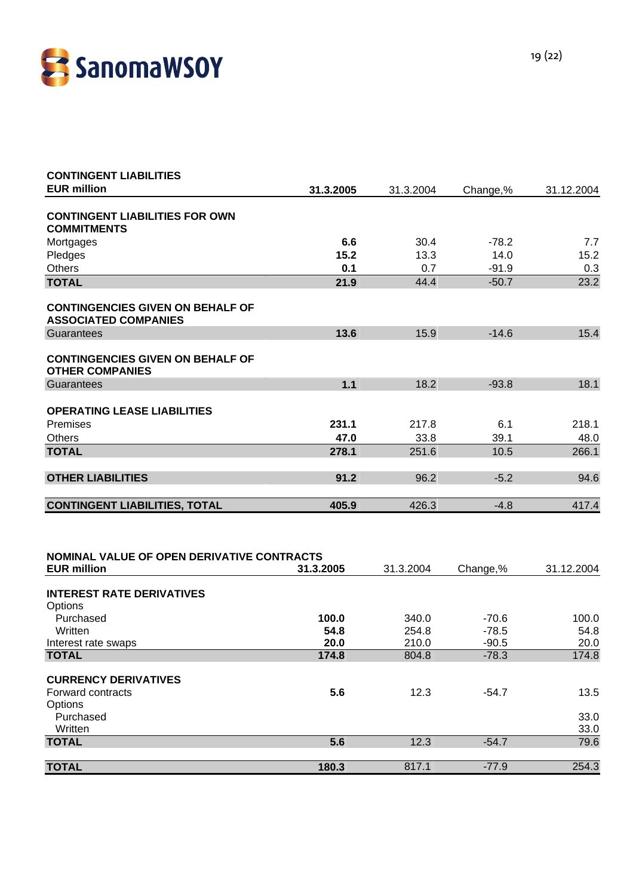

| 31.3.2005 | 31.3.2004 | Change,% | 31.12.2004 |
|-----------|-----------|----------|------------|
|           |           |          |            |
| 6.6       | 30.4      | $-78.2$  | 7.7        |
| 15.2      | 13.3      | 14.0     | 15.2       |
| 0.1       | 0.7       | $-91.9$  | 0.3        |
| 21.9      | 44.4      | $-50.7$  | 23.2       |
|           |           |          |            |
| 13.6      | 15.9      | $-14.6$  | 15.4       |
|           |           |          |            |
| 1.1       | 18.2      | $-93.8$  | 18.1       |
|           |           |          |            |
| 231.1     | 217.8     | 6.1      | 218.1      |
| 47.0      | 33.8      | 39.1     | 48.0       |
| 278.1     | 251.6     | 10.5     | 266.1      |
| 91.2      | 96.2      | $-5.2$   | 94.6       |
| 405.9     | 426.3     | $-4.8$   | 417.4      |
|           |           |          |            |

| <b>EUR million</b>               | 31.3.2005 | 31.3.2004 | Change,% | 31.12.2004 |
|----------------------------------|-----------|-----------|----------|------------|
| <b>INTEREST RATE DERIVATIVES</b> |           |           |          |            |
| Options                          |           |           |          |            |
| Purchased                        | 100.0     | 340.0     | $-70.6$  | 100.0      |
| Written                          | 54.8      | 254.8     | $-78.5$  | 54.8       |
| Interest rate swaps              | 20.0      | 210.0     | $-90.5$  | 20.0       |
| <b>TOTAL</b>                     | 174.8     | 804.8     | $-78.3$  | 174.8      |
| <b>CURRENCY DERIVATIVES</b>      |           |           |          |            |
| Forward contracts                | 5.6       | 12.3      | $-54.7$  | 13.5       |
| Options                          |           |           |          |            |
| Purchased                        |           |           |          | 33.0       |
| Written                          |           |           |          | 33.0       |
| <b>TOTAL</b>                     | 5.6       | 12.3      | $-54.7$  | 79.6       |
|                                  |           |           |          |            |
| <b>TOTAL</b>                     | 180.3     | 817.1     | $-77.9$  | 254.3      |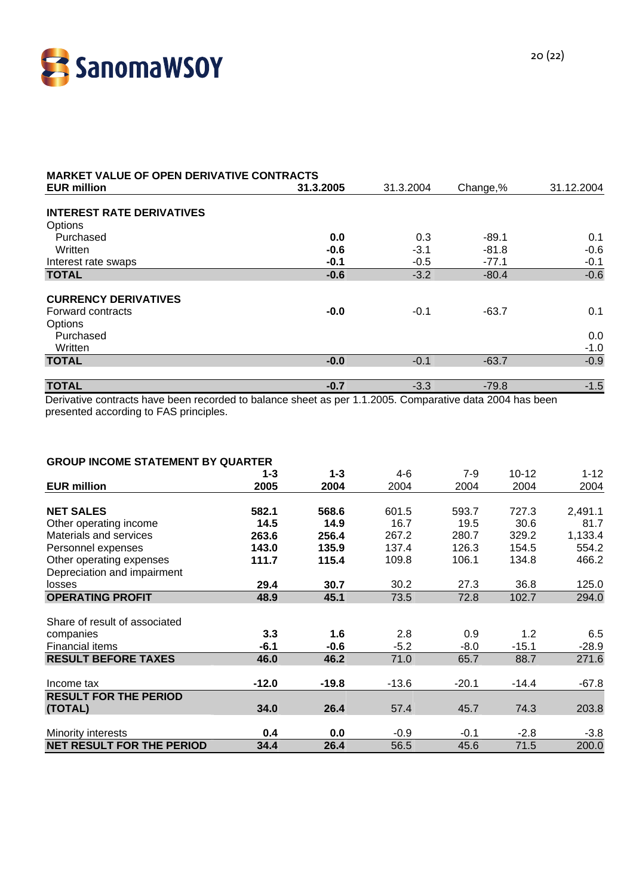

| <b>MARKET VALUE OF OPEN DERIVATIVE CONTRACTS</b>                    |               |               |                    |               |
|---------------------------------------------------------------------|---------------|---------------|--------------------|---------------|
| <b>EUR million</b>                                                  | 31.3.2005     | 31.3.2004     | Change,%           | 31.12.2004    |
| <b>INTEREST RATE DERIVATIVES</b><br>Options<br>Purchased<br>Written | 0.0<br>$-0.6$ | 0.3<br>$-3.1$ | $-89.1$<br>$-81.8$ | 0.1<br>$-0.6$ |
| Interest rate swaps                                                 | $-0.1$        | $-0.5$        | $-77.1$            | $-0.1$        |
| <b>TOTAL</b>                                                        | $-0.6$        | $-3.2$        | $-80.4$            | $-0.6$        |
| <b>CURRENCY DERIVATIVES</b><br>Forward contracts<br>Options         | $-0.0$        | $-0.1$        | $-63.7$            | 0.1           |
| Purchased<br>Written                                                |               |               |                    | 0.0<br>$-1.0$ |
| <b>TOTAL</b>                                                        | $-0.0$        | $-0.1$        | $-63.7$            | $-0.9$        |
| <b>TOTAL</b>                                                        | $-0.7$        | $-3.3$        | $-79.8$            | $-1.5$        |

Derivative contracts have been recorded to balance sheet as per 1.1.2005. Comparative data 2004 has been presented according to FAS principles.

#### **GROUP INCOME STATEMENT BY QUARTER**

|                                  | $1 - 3$ | $1 - 3$ | $4-6$   | $7-9$   | 10-12   | 1-12    |
|----------------------------------|---------|---------|---------|---------|---------|---------|
| <b>EUR million</b>               | 2005    | 2004    | 2004    | 2004    | 2004    | 2004    |
|                                  |         |         |         |         |         |         |
| <b>NET SALES</b>                 | 582.1   | 568.6   | 601.5   | 593.7   | 727.3   | 2,491.1 |
| Other operating income           | 14.5    | 14.9    | 16.7    | 19.5    | 30.6    | 81.7    |
| Materials and services           | 263.6   | 256.4   | 267.2   | 280.7   | 329.2   | 1,133.4 |
| Personnel expenses               | 143.0   | 135.9   | 137.4   | 126.3   | 154.5   | 554.2   |
| Other operating expenses         | 111.7   | 115.4   | 109.8   | 106.1   | 134.8   | 466.2   |
| Depreciation and impairment      |         |         |         |         |         |         |
| losses                           | 29.4    | 30.7    | 30.2    | 27.3    | 36.8    | 125.0   |
| <b>OPERATING PROFIT</b>          | 48.9    | 45.1    | 73.5    | 72.8    | 102.7   | 294.0   |
|                                  |         |         |         |         |         |         |
| Share of result of associated    |         |         |         |         |         |         |
| companies                        | 3.3     | 1.6     | 2.8     | 0.9     | 1.2     | 6.5     |
| <b>Financial items</b>           | $-6.1$  | $-0.6$  | $-5.2$  | $-8.0$  | $-15.1$ | $-28.9$ |
| <b>RESULT BEFORE TAXES</b>       | 46.0    | 46.2    | 71.0    | 65.7    | 88.7    | 271.6   |
|                                  |         |         |         |         |         |         |
| Income tax                       | $-12.0$ | $-19.8$ | $-13.6$ | $-20.1$ | $-14.4$ | $-67.8$ |
| <b>RESULT FOR THE PERIOD</b>     |         |         |         |         |         |         |
| (TOTAL)                          | 34.0    | 26.4    | 57.4    | 45.7    | 74.3    | 203.8   |
|                                  |         |         |         |         |         |         |
| <b>Minority interests</b>        | 0.4     | 0.0     | $-0.9$  | $-0.1$  | $-2.8$  | $-3.8$  |
| <b>NET RESULT FOR THE PERIOD</b> | 34.4    | 26.4    | 56.5    | 45.6    | 71.5    | 200.0   |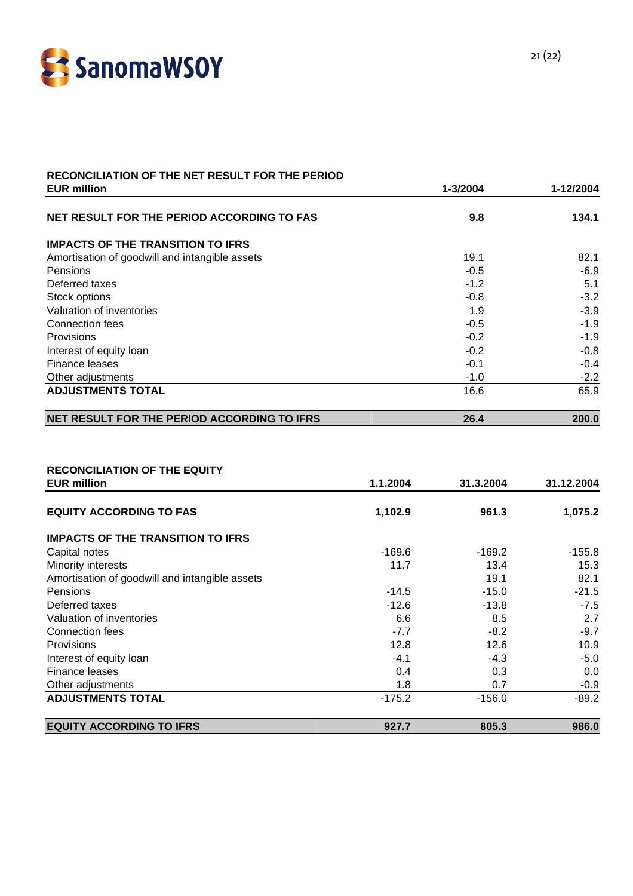

#### **RECONCILIATION OF THE NET RESULT FOR THE PERIOD EUR million 1-3/2004 1-12/2004**

| NET RESULT FOR THE PERIOD ACCORDING TO FAS     | 9.8    | 134.1  |
|------------------------------------------------|--------|--------|
| <b>IMPACTS OF THE TRANSITION TO IFRS</b>       |        |        |
| Amortisation of goodwill and intangible assets | 19.1   | 82.1   |
| <b>Pensions</b>                                | $-0.5$ | $-6.9$ |
| Deferred taxes                                 | $-1.2$ | 5.1    |
| Stock options                                  | $-0.8$ | $-3.2$ |
| Valuation of inventories                       | 1.9    | $-3.9$ |
| Connection fees                                | $-0.5$ | $-1.9$ |
| Provisions                                     | $-0.2$ | $-1.9$ |
| Interest of equity loan                        | $-0.2$ | $-0.8$ |
| Finance leases                                 | $-0.1$ | $-0.4$ |
| Other adjustments                              | $-1.0$ | $-2.2$ |
| <b>ADJUSTMENTS TOTAL</b>                       | 16.6   | 65.9   |
| NET RESULT FOR THE PERIOD ACCORDING TO IFRS    | 26.4   | 200.0  |

#### **RECONCILIATION OF THE EQUITY**

| <b>EUR million</b>                             | 1.1.2004 | 31.3.2004 | 31.12.2004 |
|------------------------------------------------|----------|-----------|------------|
| <b>EQUITY ACCORDING TO FAS</b>                 | 1,102.9  | 961.3     | 1,075.2    |
| <b>IMPACTS OF THE TRANSITION TO IFRS</b>       |          |           |            |
| Capital notes                                  | -169.6   | $-169.2$  | $-155.8$   |
| Minority interests                             | 11.7     | 13.4      | 15.3       |
| Amortisation of goodwill and intangible assets |          | 19.1      | 82.1       |
| Pensions                                       | $-14.5$  | $-15.0$   | $-21.5$    |
| Deferred taxes                                 | $-12.6$  | $-13.8$   | $-7.5$     |
| Valuation of inventories                       | 6.6      | 8.5       | 2.7        |
| Connection fees                                | $-7.7$   | $-8.2$    | $-9.7$     |
| Provisions                                     | 12.8     | 12.6      | 10.9       |
| Interest of equity loan                        | $-4.1$   | $-4.3$    | $-5.0$     |
| Finance leases                                 | 0.4      | 0.3       | 0.0        |
| Other adjustments                              | 1.8      | 0.7       | $-0.9$     |
| <b>ADJUSTMENTS TOTAL</b>                       | $-175.2$ | $-156.0$  | $-89.2$    |
| <b>EQUITY ACCORDING TO IFRS</b>                | 927.7    | 805.3     | 986.0      |